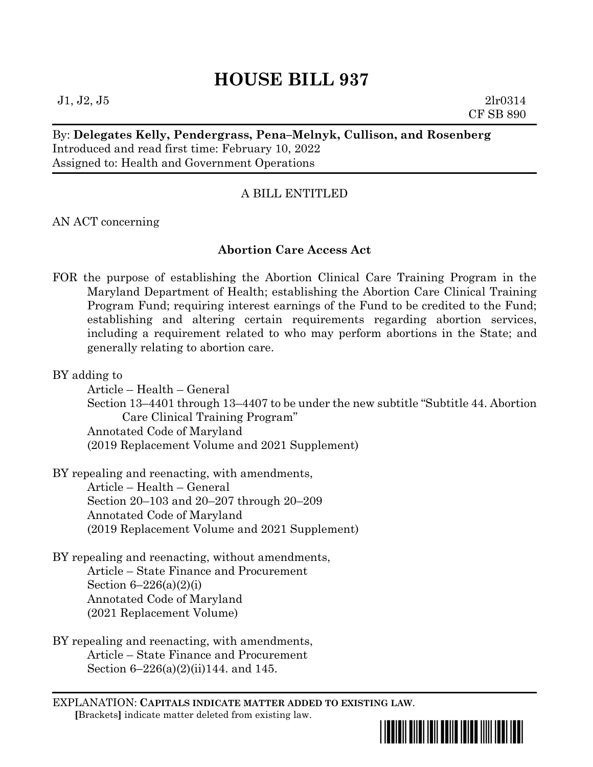# **HOUSE BILL 937**

 $J1, J2, J5$  2lr0314 CF SB 890

# By: **Delegates Kelly, Pendergrass, Pena–Melnyk, Cullison, and Rosenberg** Introduced and read first time: February 10, 2022 Assigned to: Health and Government Operations

# A BILL ENTITLED

AN ACT concerning

# **Abortion Care Access Act**

FOR the purpose of establishing the Abortion Clinical Care Training Program in the Maryland Department of Health; establishing the Abortion Care Clinical Training Program Fund; requiring interest earnings of the Fund to be credited to the Fund; establishing and altering certain requirements regarding abortion services, including a requirement related to who may perform abortions in the State; and generally relating to abortion care.

BY adding to

Article – Health – General Section 13–4401 through 13–4407 to be under the new subtitle "Subtitle 44. Abortion Care Clinical Training Program" Annotated Code of Maryland (2019 Replacement Volume and 2021 Supplement)

BY repealing and reenacting, with amendments, Article – Health – General

Section 20–103 and 20–207 through 20–209 Annotated Code of Maryland (2019 Replacement Volume and 2021 Supplement)

- BY repealing and reenacting, without amendments, Article – State Finance and Procurement Section  $6-226(a)(2)(i)$ Annotated Code of Maryland (2021 Replacement Volume)
- BY repealing and reenacting, with amendments, Article – State Finance and Procurement Section 6–226(a)(2)(ii)144. and 145.

EXPLANATION: **CAPITALS INDICATE MATTER ADDED TO EXISTING LAW**.  **[**Brackets**]** indicate matter deleted from existing law.

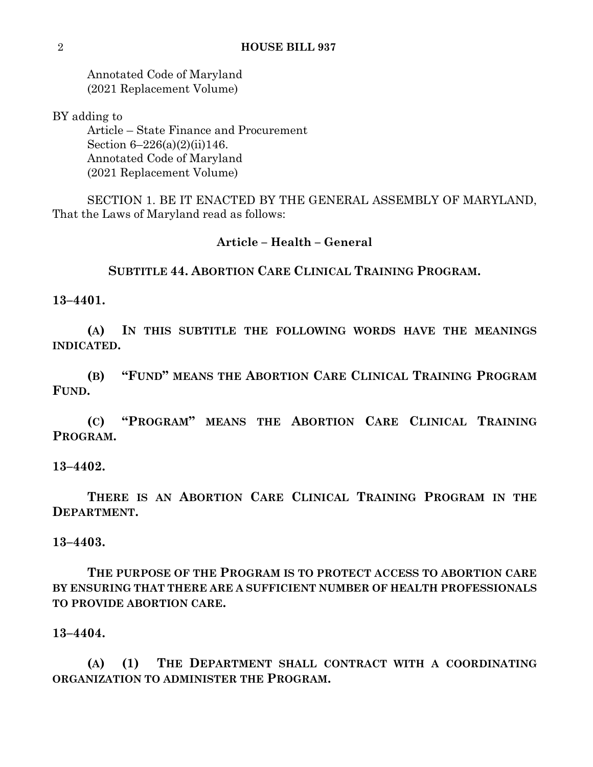Annotated Code of Maryland (2021 Replacement Volume)

BY adding to

Article – State Finance and Procurement Section 6–226(a)(2)(ii)146. Annotated Code of Maryland (2021 Replacement Volume)

SECTION 1. BE IT ENACTED BY THE GENERAL ASSEMBLY OF MARYLAND, That the Laws of Maryland read as follows:

# **Article – Health – General**

# **SUBTITLE 44. ABORTION CARE CLINICAL TRAINING PROGRAM.**

**13–4401.**

**(A) IN THIS SUBTITLE THE FOLLOWING WORDS HAVE THE MEANINGS INDICATED.**

**(B) "FUND" MEANS THE ABORTION CARE CLINICAL TRAINING PROGRAM FUND.**

**(C) "PROGRAM" MEANS THE ABORTION CARE CLINICAL TRAINING PROGRAM.**

# **13–4402.**

**THERE IS AN ABORTION CARE CLINICAL TRAINING PROGRAM IN THE DEPARTMENT.**

# **13–4403.**

**THE PURPOSE OF THE PROGRAM IS TO PROTECT ACCESS TO ABORTION CARE BY ENSURING THAT THERE ARE A SUFFICIENT NUMBER OF HEALTH PROFESSIONALS TO PROVIDE ABORTION CARE.**

#### **13–4404.**

**(A) (1) THE DEPARTMENT SHALL CONTRACT WITH A COORDINATING ORGANIZATION TO ADMINISTER THE PROGRAM.**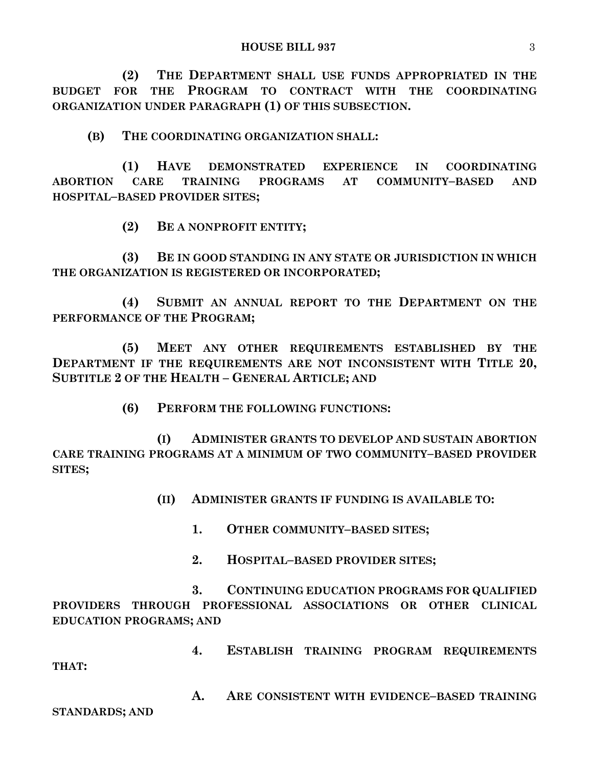**(2) THE DEPARTMENT SHALL USE FUNDS APPROPRIATED IN THE BUDGET FOR THE PROGRAM TO CONTRACT WITH THE COORDINATING ORGANIZATION UNDER PARAGRAPH (1) OF THIS SUBSECTION.**

**(B) THE COORDINATING ORGANIZATION SHALL:**

**(1) HAVE DEMONSTRATED EXPERIENCE IN COORDINATING ABORTION CARE TRAINING PROGRAMS AT COMMUNITY–BASED AND HOSPITAL–BASED PROVIDER SITES;**

**(2) BE A NONPROFIT ENTITY;**

**(3) BE IN GOOD STANDING IN ANY STATE OR JURISDICTION IN WHICH THE ORGANIZATION IS REGISTERED OR INCORPORATED;**

**(4) SUBMIT AN ANNUAL REPORT TO THE DEPARTMENT ON THE PERFORMANCE OF THE PROGRAM;**

**(5) MEET ANY OTHER REQUIREMENTS ESTABLISHED BY THE DEPARTMENT IF THE REQUIREMENTS ARE NOT INCONSISTENT WITH TITLE 20, SUBTITLE 2 OF THE HEALTH – GENERAL ARTICLE; AND**

**(6) PERFORM THE FOLLOWING FUNCTIONS:**

**(I) ADMINISTER GRANTS TO DEVELOP AND SUSTAIN ABORTION CARE TRAINING PROGRAMS AT A MINIMUM OF TWO COMMUNITY–BASED PROVIDER SITES;**

**(II) ADMINISTER GRANTS IF FUNDING IS AVAILABLE TO:**

**1. OTHER COMMUNITY–BASED SITES;**

**2. HOSPITAL–BASED PROVIDER SITES;**

**3. CONTINUING EDUCATION PROGRAMS FOR QUALIFIED PROVIDERS THROUGH PROFESSIONAL ASSOCIATIONS OR OTHER CLINICAL EDUCATION PROGRAMS; AND**

**4. ESTABLISH TRAINING PROGRAM REQUIREMENTS THAT:**

**A. ARE CONSISTENT WITH EVIDENCE–BASED TRAINING** 

**STANDARDS; AND**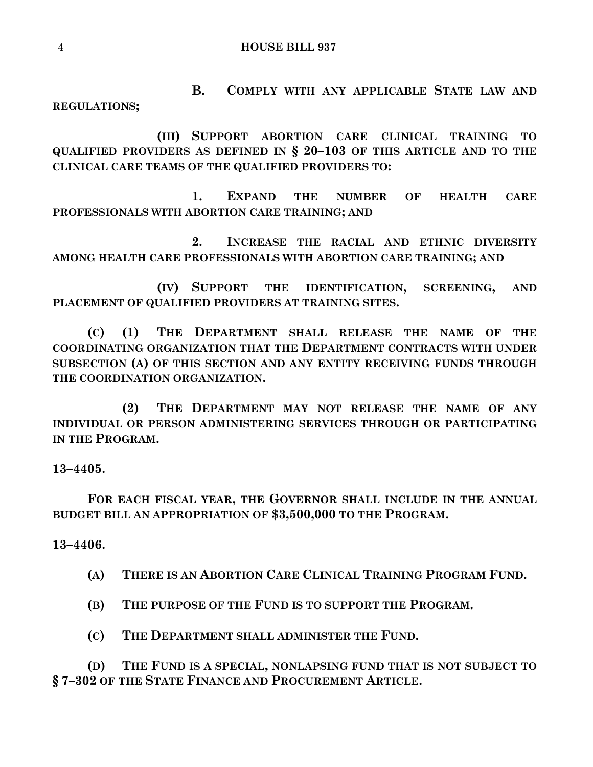**B. COMPLY WITH ANY APPLICABLE STATE LAW AND REGULATIONS;**

**(III) SUPPORT ABORTION CARE CLINICAL TRAINING TO QUALIFIED PROVIDERS AS DEFINED IN § 20–103 OF THIS ARTICLE AND TO THE CLINICAL CARE TEAMS OF THE QUALIFIED PROVIDERS TO:**

**1. EXPAND THE NUMBER OF HEALTH CARE PROFESSIONALS WITH ABORTION CARE TRAINING; AND**

**2. INCREASE THE RACIAL AND ETHNIC DIVERSITY AMONG HEALTH CARE PROFESSIONALS WITH ABORTION CARE TRAINING; AND**

**(IV) SUPPORT THE IDENTIFICATION, SCREENING, AND PLACEMENT OF QUALIFIED PROVIDERS AT TRAINING SITES.**

**(C) (1) THE DEPARTMENT SHALL RELEASE THE NAME OF THE COORDINATING ORGANIZATION THAT THE DEPARTMENT CONTRACTS WITH UNDER SUBSECTION (A) OF THIS SECTION AND ANY ENTITY RECEIVING FUNDS THROUGH THE COORDINATION ORGANIZATION.**

**(2) THE DEPARTMENT MAY NOT RELEASE THE NAME OF ANY INDIVIDUAL OR PERSON ADMINISTERING SERVICES THROUGH OR PARTICIPATING IN THE PROGRAM.**

**13–4405.**

**FOR EACH FISCAL YEAR, THE GOVERNOR SHALL INCLUDE IN THE ANNUAL BUDGET BILL AN APPROPRIATION OF \$3,500,000 TO THE PROGRAM.**

**13–4406.**

**(A) THERE IS AN ABORTION CARE CLINICAL TRAINING PROGRAM FUND.**

**(B) THE PURPOSE OF THE FUND IS TO SUPPORT THE PROGRAM.**

**(C) THE DEPARTMENT SHALL ADMINISTER THE FUND.**

**(D) THE FUND IS A SPECIAL, NONLAPSING FUND THAT IS NOT SUBJECT TO § 7–302 OF THE STATE FINANCE AND PROCUREMENT ARTICLE.**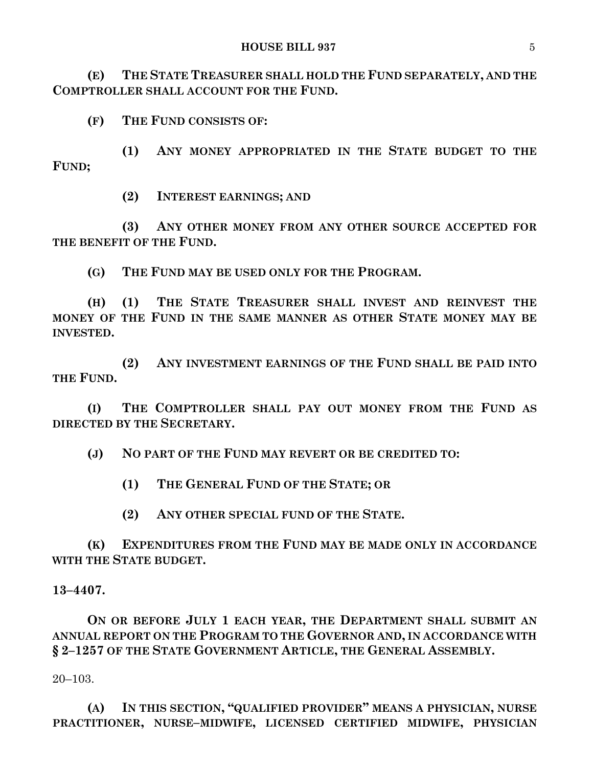**(E) THE STATE TREASURER SHALL HOLD THE FUND SEPARATELY, AND THE COMPTROLLER SHALL ACCOUNT FOR THE FUND.**

**(F) THE FUND CONSISTS OF:**

**(1) ANY MONEY APPROPRIATED IN THE STATE BUDGET TO THE FUND;**

**(2) INTEREST EARNINGS; AND** 

**(3) ANY OTHER MONEY FROM ANY OTHER SOURCE ACCEPTED FOR THE BENEFIT OF THE FUND.**

**(G) THE FUND MAY BE USED ONLY FOR THE PROGRAM.**

**(H) (1) THE STATE TREASURER SHALL INVEST AND REINVEST THE MONEY OF THE FUND IN THE SAME MANNER AS OTHER STATE MONEY MAY BE INVESTED.**

**(2) ANY INVESTMENT EARNINGS OF THE FUND SHALL BE PAID INTO THE FUND.**

**(I) THE COMPTROLLER SHALL PAY OUT MONEY FROM THE FUND AS DIRECTED BY THE SECRETARY.**

**(J) NO PART OF THE FUND MAY REVERT OR BE CREDITED TO:**

**(1) THE GENERAL FUND OF THE STATE; OR** 

**(2) ANY OTHER SPECIAL FUND OF THE STATE.**

**(K) EXPENDITURES FROM THE FUND MAY BE MADE ONLY IN ACCORDANCE WITH THE STATE BUDGET.**

#### **13–4407.**

**ON OR BEFORE JULY 1 EACH YEAR, THE DEPARTMENT SHALL SUBMIT AN ANNUAL REPORT ON THE PROGRAM TO THE GOVERNOR AND, IN ACCORDANCE WITH § 2–1257 OF THE STATE GOVERNMENT ARTICLE, THE GENERAL ASSEMBLY.**

20–103.

**(A) IN THIS SECTION, "QUALIFIED PROVIDER" MEANS A PHYSICIAN, NURSE PRACTITIONER, NURSE–MIDWIFE, LICENSED CERTIFIED MIDWIFE, PHYSICIAN**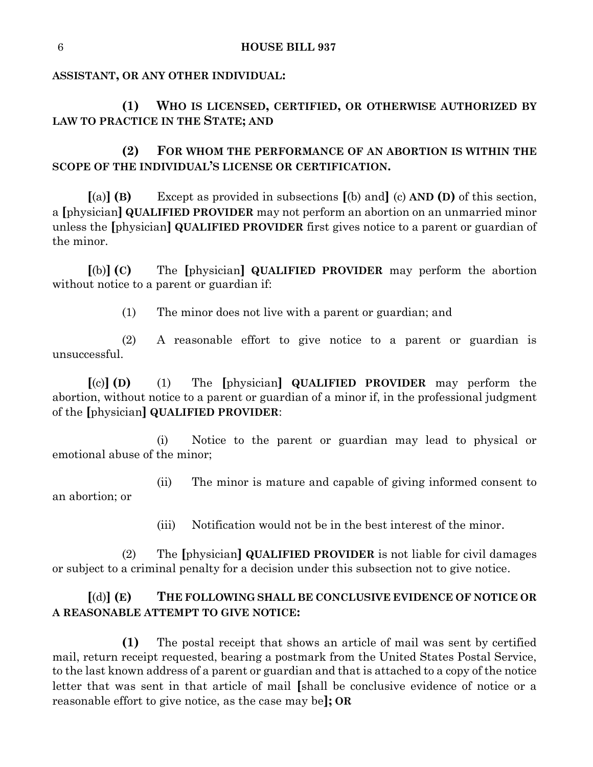## **ASSISTANT, OR ANY OTHER INDIVIDUAL:**

**(1) WHO IS LICENSED, CERTIFIED, OR OTHERWISE AUTHORIZED BY LAW TO PRACTICE IN THE STATE; AND**

**(2) FOR WHOM THE PERFORMANCE OF AN ABORTION IS WITHIN THE SCOPE OF THE INDIVIDUAL'S LICENSE OR CERTIFICATION.**

**[**(a)**] (B)** Except as provided in subsections **[**(b) and**]** (c) **AND (D)** of this section, a **[**physician**] QUALIFIED PROVIDER** may not perform an abortion on an unmarried minor unless the **[**physician**] QUALIFIED PROVIDER** first gives notice to a parent or guardian of the minor.

**[**(b)**] (C)** The **[**physician**] QUALIFIED PROVIDER** may perform the abortion without notice to a parent or guardian if:

(1) The minor does not live with a parent or guardian; and

(2) A reasonable effort to give notice to a parent or guardian is unsuccessful.

**[**(c)**] (D)** (1) The **[**physician**] QUALIFIED PROVIDER** may perform the abortion, without notice to a parent or guardian of a minor if, in the professional judgment of the **[**physician**] QUALIFIED PROVIDER**:

(i) Notice to the parent or guardian may lead to physical or emotional abuse of the minor;

(ii) The minor is mature and capable of giving informed consent to an abortion; or

(iii) Notification would not be in the best interest of the minor.

(2) The **[**physician**] QUALIFIED PROVIDER** is not liable for civil damages or subject to a criminal penalty for a decision under this subsection not to give notice.

# **[**(d)**] (E) THE FOLLOWING SHALL BE CONCLUSIVE EVIDENCE OF NOTICE OR A REASONABLE ATTEMPT TO GIVE NOTICE:**

**(1)** The postal receipt that shows an article of mail was sent by certified mail, return receipt requested, bearing a postmark from the United States Postal Service, to the last known address of a parent or guardian and that is attached to a copy of the notice letter that was sent in that article of mail **[**shall be conclusive evidence of notice or a reasonable effort to give notice, as the case may be**]; OR**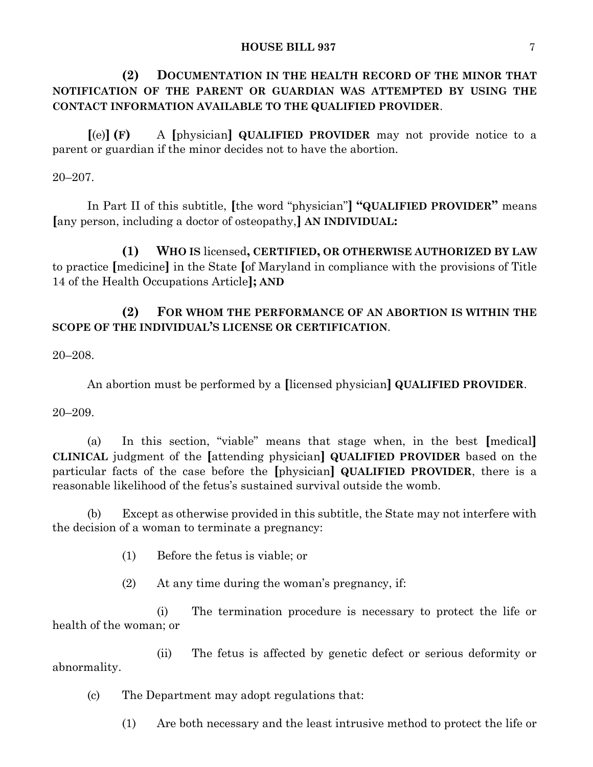#### **HOUSE BILL 937** 7

**(2) DOCUMENTATION IN THE HEALTH RECORD OF THE MINOR THAT NOTIFICATION OF THE PARENT OR GUARDIAN WAS ATTEMPTED BY USING THE CONTACT INFORMATION AVAILABLE TO THE QUALIFIED PROVIDER**.

**[**(e)**] (F)** A **[**physician**] QUALIFIED PROVIDER** may not provide notice to a parent or guardian if the minor decides not to have the abortion.

20–207.

In Part II of this subtitle, **[**the word "physician"**] "QUALIFIED PROVIDER"** means **[**any person, including a doctor of osteopathy,**] AN INDIVIDUAL:**

**(1) WHO IS** licensed**, CERTIFIED, OR OTHERWISE AUTHORIZED BY LAW** to practice **[**medicine**]** in the State **[**of Maryland in compliance with the provisions of Title 14 of the Health Occupations Article**]; AND**

# **(2) FOR WHOM THE PERFORMANCE OF AN ABORTION IS WITHIN THE SCOPE OF THE INDIVIDUAL'S LICENSE OR CERTIFICATION**.

20–208.

An abortion must be performed by a **[**licensed physician**] QUALIFIED PROVIDER**.

20–209.

(a) In this section, "viable" means that stage when, in the best **[**medical**] CLINICAL** judgment of the **[**attending physician**] QUALIFIED PROVIDER** based on the particular facts of the case before the **[**physician**] QUALIFIED PROVIDER**, there is a reasonable likelihood of the fetus's sustained survival outside the womb.

(b) Except as otherwise provided in this subtitle, the State may not interfere with the decision of a woman to terminate a pregnancy:

(1) Before the fetus is viable; or

(2) At any time during the woman's pregnancy, if:

(i) The termination procedure is necessary to protect the life or health of the woman; or

(ii) The fetus is affected by genetic defect or serious deformity or abnormality.

(c) The Department may adopt regulations that:

(1) Are both necessary and the least intrusive method to protect the life or